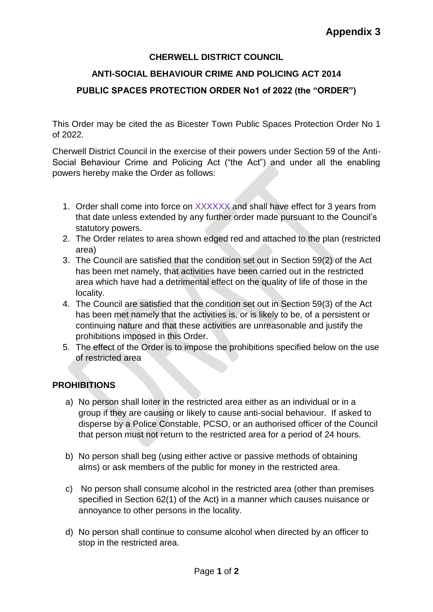## **CHERWELL DISTRICT COUNCIL**

## **ANTI-SOCIAL BEHAVIOUR CRIME AND POLICING ACT 2014 PUBLIC SPACES PROTECTION ORDER No1 of 2022 (the "ORDER")**

This Order may be cited the as Bicester Town Public Spaces Protection Order No 1 of 2022.

Cherwell District Council in the exercise of their powers under Section 59 of the Anti-Social Behaviour Crime and Policing Act ("the Act") and under all the enabling powers hereby make the Order as follows:

- 1. Order shall come into force on XXXXXX and shall have effect for 3 years from that date unless extended by any further order made pursuant to the Council's statutory powers.
- 2. The Order relates to area shown edged red and attached to the plan (restricted area)
- 3. The Council are satisfied that the condition set out in Section 59(2) of the Act has been met namely, that activities have been carried out in the restricted area which have had a detrimental effect on the quality of life of those in the locality.
- 4. The Council are satisfied that the condition set out in Section 59(3) of the Act has been met namely that the activities is, or is likely to be, of a persistent or continuing nature and that these activities are unreasonable and justify the prohibitions imposed in this Order.
- 5. The effect of the Order is to impose the prohibitions specified below on the use of restricted area

## **PROHIBITIONS**

- a) No person shall loiter in the restricted area either as an individual or in a group if they are causing or likely to cause anti-social behaviour. If asked to disperse by a Police Constable, PCSO, or an authorised officer of the Council that person must not return to the restricted area for a period of 24 hours.
- b) No person shall beg (using either active or passive methods of obtaining alms) or ask members of the public for money in the restricted area.
- c) No person shall consume alcohol in the restricted area (other than premises specified in Section 62(1) of the Act) in a manner which causes nuisance or annoyance to other persons in the locality.
- d) No person shall continue to consume alcohol when directed by an officer to stop in the restricted area.